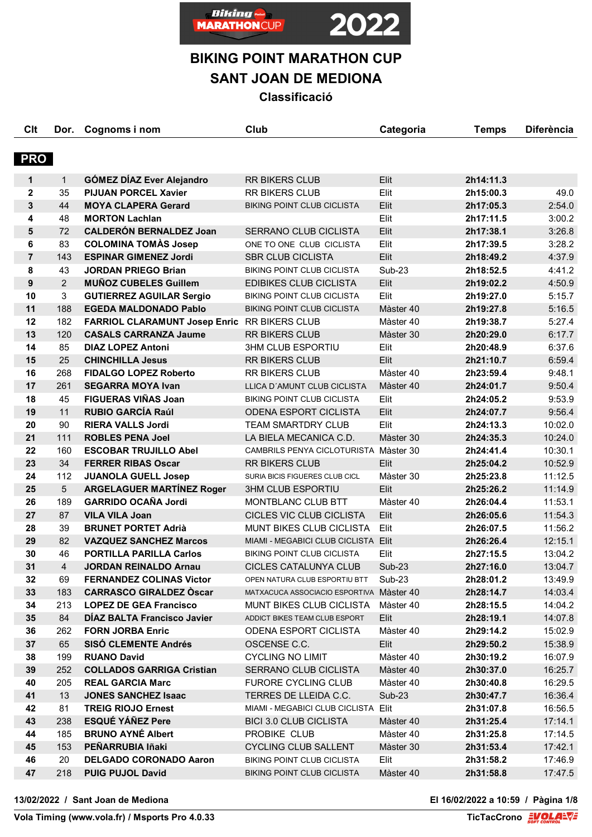

# **BIKING POINT MARATHON CUP**

**SANT JOAN DE MEDIONA**

**Classificació**

| Clt            | Dor.                    | Cognoms i nom                                | Club                                     | Categoria     | <b>Temps</b> | <b>Diferència</b> |
|----------------|-------------------------|----------------------------------------------|------------------------------------------|---------------|--------------|-------------------|
| <b>PRO</b>     |                         |                                              |                                          |               |              |                   |
|                |                         |                                              |                                          |               |              |                   |
| $\mathbf 1$    | 1                       | <b>GÓMEZ DÍAZ Ever Alejandro</b>             | <b>RR BIKERS CLUB</b>                    | Elit          | 2h14:11.3    |                   |
| $\mathbf 2$    | 35                      | <b>PIJUAN PORCEL Xavier</b>                  | RR BIKERS CLUB                           | Elit          | 2h15:00.3    | 49.0              |
| 3              | 44                      | <b>MOYA CLAPERA Gerard</b>                   | <b>BIKING POINT CLUB CICLISTA</b>        | Elit          | 2h17:05.3    | 2:54.0            |
| 4              | 48                      | <b>MORTON Lachlan</b>                        |                                          | Elit          | 2h17:11.5    | 3:00.2            |
| 5              | 72                      | <b>CALDERÓN BERNALDEZ Joan</b>               | SERRANO CLUB CICLISTA                    | Elit          | 2h17:38.1    | 3:26.8            |
| 6              | 83                      | <b>COLOMINA TOMAS Josep</b>                  | ONE TO ONE CLUB CICLISTA                 | Elit          | 2h17:39.5    | 3:28.2            |
| $\overline{7}$ | 143                     | <b>ESPINAR GIMENEZ Jordi</b>                 | <b>SBR CLUB CICLISTA</b>                 | Elit          | 2h18:49.2    | 4:37.9            |
| 8              | 43                      | <b>JORDAN PRIEGO Brian</b>                   | <b>BIKING POINT CLUB CICLISTA</b>        | <b>Sub-23</b> | 2h18:52.5    | 4:41.2            |
| 9              | 2                       | <b>MUÑOZ CUBELES Guillem</b>                 | <b>EDIBIKES CLUB CICLISTA</b>            | Elit          | 2h19:02.2    | 4:50.9            |
| 10             | 3                       | <b>GUTIERREZ AGUILAR Sergio</b>              | <b>BIKING POINT CLUB CICLISTA</b>        | Elit          | 2h19:27.0    | 5:15.7            |
| 11             | 188                     | <b>EGEDA MALDONADO Pablo</b>                 | <b>BIKING POINT CLUB CICLISTA</b>        | Màster 40     | 2h19:27.8    | 5:16.5            |
| 12             | 182                     | FARRIOL CLARAMUNT Josep Enric RR BIKERS CLUB |                                          | Màster 40     | 2h19:38.7    | 5:27.4            |
| 13             | 120                     | <b>CASALS CARRANZA Jaume</b>                 | <b>RR BIKERS CLUB</b>                    | Màster 30     | 2h20:29.0    | 6:17.7            |
| 14             | 85                      | <b>DIAZ LOPEZ Antoni</b>                     | <b>3HM CLUB ESPORTIU</b>                 | Elit          | 2h20:48.9    | 6:37.6            |
| 15             | 25                      | <b>CHINCHILLA Jesus</b>                      | <b>RR BIKERS CLUB</b>                    | Elit          | 2h21:10.7    | 6:59.4            |
| 16             | 268                     | <b>FIDALGO LOPEZ Roberto</b>                 | <b>RR BIKERS CLUB</b>                    | Màster 40     | 2h23:59.4    | 9:48.1            |
| 17             | 261                     | <b>SEGARRA MOYA Ivan</b>                     | LLICA D'AMUNT CLUB CICLISTA              | Màster 40     | 2h24:01.7    | 9:50.4            |
| 18             | 45                      | <b>FIGUERAS VIÑAS Joan</b>                   | <b>BIKING POINT CLUB CICLISTA</b>        | Elit          | 2h24:05.2    | 9:53.9            |
| 19             | 11                      | <b>RUBIO GARCÍA Raúl</b>                     | <b>ODENA ESPORT CICLISTA</b>             | Elit          | 2h24:07.7    | 9:56.4            |
| 20             | 90                      | <b>RIERA VALLS Jordi</b>                     | <b>TEAM SMARTDRY CLUB</b>                | Elit          | 2h24:13.3    | 10:02.0           |
| 21             | 111                     | <b>ROBLES PENA Joel</b>                      | LA BIELA MECANICA C.D.                   | Màster 30     | 2h24:35.3    | 10:24.0           |
| 22             | 160                     | <b>ESCOBAR TRUJILLO Abel</b>                 | CAMBRILS PENYA CICLOTURISTA Màster 30    |               | 2h24:41.4    | 10:30.1           |
| 23             | 34                      | <b>FERRER RIBAS Oscar</b>                    | <b>RR BIKERS CLUB</b>                    | Elit          | 2h25:04.2    | 10:52.9           |
| 24             | 112                     | <b>JUANOLA GUELL Josep</b>                   | SURIA BICIS FIGUERES CLUB CICL           | Màster 30     | 2h25:23.8    | 11:12.5           |
| 25             | 5                       | <b>ARGELAGUER MARTÍNEZ Roger</b>             | <b>3HM CLUB ESPORTIU</b>                 | Elit          | 2h25:26.2    | 11:14.9           |
| 26             | 189                     | <b>GARRIDO OCAÑA Jordi</b>                   | MONTBLANC CLUB BTT                       | Màster 40     | 2h26:04.4    | 11:53.1           |
| 27             | 87                      | <b>VILA VILA Joan</b>                        | CICLES VIC CLUB CICLISTA                 | Elit          | 2h26:05.6    | 11:54.3           |
| 28             | 39                      | <b>BRUNET PORTET Adrià</b>                   | MUNT BIKES CLUB CICLISTA                 | Elit          | 2h26:07.5    | 11:56.2           |
| 29             | 82                      | <b>VAZQUEZ SANCHEZ Marcos</b>                | MIAMI - MEGABICI CLUB CICLISTA Elit      |               | 2h26:26.4    | 12:15.1           |
| 30             | 46                      | <b>PORTILLA PARILLA Carlos</b>               | <b>BIKING POINT CLUB CICLISTA</b>        | Elit          | 2h27:15.5    | 13:04.2           |
| 31             | $\overline{\mathbf{4}}$ | <b>JORDAN REINALDO Arnau</b>                 | CICLES CATALUNYA CLUB                    | <b>Sub-23</b> | 2h27:16.0    | 13:04.7           |
| 32             | 69                      | <b>FERNANDEZ COLINAS Victor</b>              | OPEN NATURA CLUB ESPORTIU BTT            | Sub-23        | 2h28:01.2    | 13:49.9           |
| 33             | 183                     | <b>CARRASCO GIRALDEZ Oscar</b>               | MATXACUCA ASSOCIACIO ESPORTIVA Màster 40 |               | 2h28:14.7    | 14:03.4           |
| 34             | 213                     | <b>LOPEZ DE GEA Francisco</b>                | <b>MUNT BIKES CLUB CICLISTA</b>          | Màster 40     | 2h28:15.5    | 14:04.2           |
| 35             | 84                      | DIAZ BALTA Francisco Javier                  | ADDICT BIKES TEAM CLUB ESPORT            | Elit          | 2h28:19.1    | 14:07.8           |
| 36             | 262                     | <b>FORN JORBA Enric</b>                      | ODENA ESPORT CICLISTA                    | Màster 40     | 2h29:14.2    | 15:02.9           |
| 37             | 65                      | <b>SISO CLEMENTE Andrés</b>                  | OSCENSE C.C.                             | Elit          | 2h29:50.2    | 15:38.9           |
| 38             | 199                     | <b>RUANO David</b>                           | <b>CYCLING NO LIMIT</b>                  | Màster 40     | 2h30:19.2    | 16:07.9           |
| 39             | 252                     | <b>COLLADOS GARRIGA Cristian</b>             | SERRANO CLUB CICLISTA                    | Màster 40     | 2h30:37.0    | 16:25.7           |
| 40             | 205                     | <b>REAL GARCIA Marc</b>                      | <b>FURORE CYCLING CLUB</b>               | Màster 40     | 2h30:40.8    | 16:29.5           |
| 41             | 13                      | <b>JONES SANCHEZ Isaac</b>                   | TERRES DE LLEIDA C.C.                    | Sub-23        | 2h30:47.7    | 16:36.4           |
| 42             | 81                      | <b>TREIG RIOJO Ernest</b>                    | MIAMI - MEGABICI CLUB CICLISTA Elit      |               | 2h31:07.8    | 16:56.5           |
| 43             | 238                     | <b>ESQUÉ YÁÑEZ Pere</b>                      | <b>BICI 3.0 CLUB CICLISTA</b>            | Màster 40     | 2h31:25.4    | 17:14.1           |
| 44             | 185                     | <b>BRUNO AYNE Albert</b>                     | PROBIKE CLUB                             | Màster 40     | 2h31:25.8    | 17:14.5           |
| 45             | 153                     | PEÑARRUBIA Iñaki                             | <b>CYCLING CLUB SALLENT</b>              | Màster 30     | 2h31:53.4    | 17:42.1           |
| 46             | 20                      | <b>DELGADO CORONADO Aaron</b>                | <b>BIKING POINT CLUB CICLISTA</b>        | Elit          | 2h31:58.2    | 17:46.9           |
| 47             | 218                     | <b>PUIG PUJOL David</b>                      | BIKING POINT CLUB CICLISTA               | Màster 40     | 2h31:58.8    | 17:47.5           |

**13/02/2022 / Sant Joan de Mediona El 16/02/2022 a 10:59 / Pàgina 1/8**

**Vola Timing (www.vola.fr) / Msports Pro 4.0.33**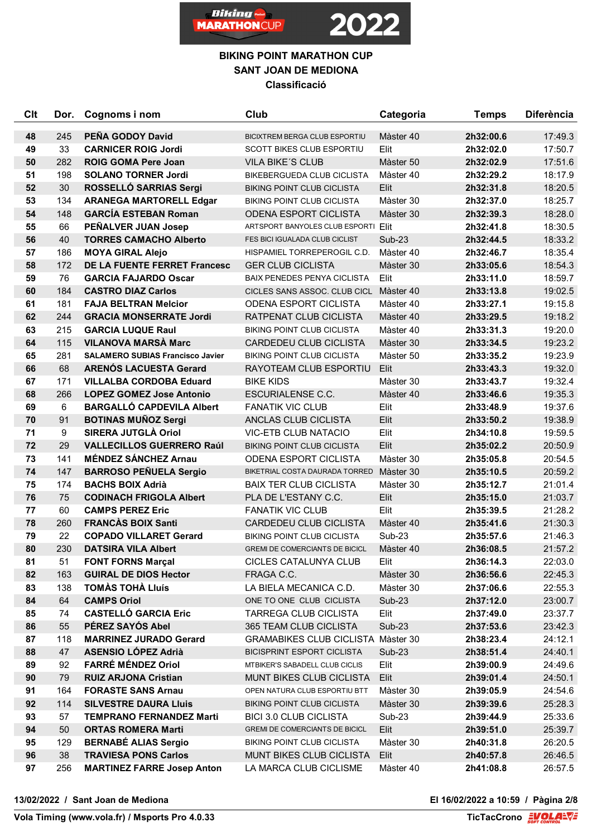



| C <sub>it</sub> | Dor. | Cognoms i nom                           | Club                                      | Categoria     | <b>Temps</b> | <b>Diferència</b> |
|-----------------|------|-----------------------------------------|-------------------------------------------|---------------|--------------|-------------------|
| 48              | 245  | PEÑA GODOY David                        | BICIXTREM BERGA CLUB ESPORTIU             | Màster 40     | 2h32:00.6    | 17:49.3           |
| 49              | 33   | <b>CARNICER ROIG Jordi</b>              | <b>SCOTT BIKES CLUB ESPORTIU</b>          | Elit          | 2h32:02.0    | 17:50.7           |
| 50              | 282  | <b>ROIG GOMA Pere Joan</b>              | <b>VILA BIKE'S CLUB</b>                   | Màster 50     | 2h32:02.9    | 17:51.6           |
| 51              | 198  | <b>SOLANO TORNER Jordi</b>              | <b>BIKEBERGUEDA CLUB CICLISTA</b>         | Màster 40     | 2h32:29.2    | 18:17.9           |
| 52              | 30   | ROSSELLÓ SARRIAS Sergi                  | BIKING POINT CLUB CICLISTA                | Elit          | 2h32:31.8    | 18:20.5           |
| 53              | 134  | <b>ARANEGA MARTORELL Edgar</b>          | <b>BIKING POINT CLUB CICLISTA</b>         | Màster 30     | 2h32:37.0    | 18:25.7           |
| 54              | 148  | <b>GARCÍA ESTEBAN Roman</b>             | <b>ODENA ESPORT CICLISTA</b>              | Màster 30     | 2h32:39.3    | 18:28.0           |
| 55              | 66   | PEÑALVER JUAN Josep                     | ARTSPORT BANYOLES CLUB ESPORTI Elit       |               | 2h32:41.8    | 18:30.5           |
| 56              | 40   | <b>TORRES CAMACHO Alberto</b>           | FES BICI IGUALADA CLUB CICLIST            | Sub-23        | 2h32:44.5    | 18:33.2           |
| 57              | 186  | <b>MOYA GIRAL Alejo</b>                 | HISPAMIEL TORREPEROGIL C.D.               | Màster 40     | 2h32:46.7    | 18:35.4           |
| 58              | 172  | DE LA FUENTE FERRET Francesc            | <b>GER CLUB CICLISTA</b>                  | Màster 30     | 2h33:05.6    | 18:54.3           |
| 59              | 76   | <b>GARCIA FAJARDO Oscar</b>             | <b>BAIX PENEDES PENYA CICLISTA</b>        | Elit          | 2h33:11.0    | 18:59.7           |
| 60              | 184  | <b>CASTRO DIAZ Carlos</b>               | CICLES SANS ASSOC. CLUB CICL              | Màster 40     | 2h33:13.8    | 19:02.5           |
| 61              | 181  | <b>FAJA BELTRAN Melcior</b>             | ODENA ESPORT CICLISTA                     | Màster 40     | 2h33:27.1    | 19:15.8           |
| 62              | 244  | <b>GRACIA MONSERRATE Jordi</b>          | RATPENAT CLUB CICLISTA                    | Màster 40     | 2h33:29.5    | 19:18.2           |
| 63              | 215  | <b>GARCIA LUQUE Raul</b>                | <b>BIKING POINT CLUB CICLISTA</b>         | Màster 40     | 2h33:31.3    | 19:20.0           |
| 64              | 115  | <b>VILANOVA MARSÀ Marc</b>              | <b>CARDEDEU CLUB CICLISTA</b>             | Màster 30     | 2h33:34.5    | 19:23.2           |
| 65              | 281  | <b>SALAMERO SUBIAS Francisco Javier</b> | <b>BIKING POINT CLUB CICLISTA</b>         | Màster 50     | 2h33:35.2    | 19:23.9           |
| 66              | 68   | <b>ARENÓS LACUESTA Gerard</b>           | RAYOTEAM CLUB ESPORTIU                    | Elit          | 2h33:43.3    | 19:32.0           |
| 67              | 171  | <b>VILLALBA CORDOBA Eduard</b>          | <b>BIKE KIDS</b>                          | Màster 30     | 2h33:43.7    | 19:32.4           |
| 68              | 266  | <b>LOPEZ GOMEZ Jose Antonio</b>         | <b>ESCURIALENSE C.C.</b>                  | Màster 40     | 2h33:46.6    | 19:35.3           |
| 69              | 6    | <b>BARGALLÓ CAPDEVILA Albert</b>        | <b>FANATIK VIC CLUB</b>                   | Elit          | 2h33:48.9    | 19:37.6           |
| 70              | 91   | <b>BOTINAS MUÑOZ Sergi</b>              | ANCLAS CLUB CICLISTA                      | Elit          | 2h33:50.2    | 19:38.9           |
| 71              | 9    | SIRERA JUTGLÀ Oriol                     | <b>VIC-ETB CLUB NATACIO</b>               | Elit          | 2h34:10.8    | 19:59.5           |
| 72              | 29   | <b>VALLECILLOS GUERRERO Raúl</b>        | <b>BIKING POINT CLUB CICLISTA</b>         | Elit          | 2h35:02.2    | 20:50.9           |
| 73              | 141  | <b>MÉNDEZ SÁNCHEZ Arnau</b>             | <b>ODENA ESPORT CICLISTA</b>              | Màster 30     | 2h35:05.8    | 20:54.5           |
| 74              | 147  | <b>BARROSO PEÑUELA Sergio</b>           | BIKETRIAL COSTA DAURADA TORRED            | Màster 30     | 2h35:10.5    | 20:59.2           |
| 75              | 174  | <b>BACHS BOIX Adrià</b>                 | <b>BAIX TER CLUB CICLISTA</b>             | Màster 30     | 2h35:12.7    | 21:01.4           |
| 76              | 75   | <b>CODINACH FRIGOLA Albert</b>          | PLA DE L'ESTANY C.C.                      | Elit          | 2h35:15.0    | 21:03.7           |
| 77              | 60   | <b>CAMPS PEREZ Eric</b>                 | <b>FANATIK VIC CLUB</b>                   | Elit          | 2h35:39.5    | 21:28.2           |
| 78              | 260  | <b>FRANCAS BOIX Santi</b>               | CARDEDEU CLUB CICLISTA                    | Màster 40     | 2h35:41.6    | 21:30.3           |
| 79              | 22   | <b>COPADO VILLARET Gerard</b>           | <b>BIKING POINT CLUB CICLISTA</b>         | Sub-23        | 2h35:57.6    | 21:46.3           |
| 80              | 230  | <b>DATSIRA VILA Albert</b>              | <b>GREMI DE COMERCIANTS DE BICICL</b>     | Màster 40     | 2h36:08.5    | 21:57.2           |
| 81              | 51   | <b>FONT FORNS Marçal</b>                | CICLES CATALUNYA CLUB                     | Elit          | 2h36:14.3    | 22:03.0           |
| 82              | 163  | <b>GUIRAL DE DIOS Hector</b>            | FRAGA C.C.                                | Màster 30     | 2h36:56.6    | 22:45.3           |
| 83              | 138  | <b>TOMAS TOHA LIUIS</b>                 | LA BIELA MECANICA C.D.                    | Màster 30     | 2h37:06.6    | 22:55.3           |
| 84              | 64   | <b>CAMPS Oriol</b>                      | ONE TO ONE CLUB CICLISTA                  | Sub-23        | 2h37:12.0    | 23:00.7           |
| 85              | 74   | <b>CASTELLÓ GARCIA Eric</b>             | <b>TARREGA CLUB CICLISTA</b>              | Elit          | 2h37:49.0    | 23:37.7           |
| 86              | 55   | PÉREZ SAYÓS Abel                        | 365 TEAM CLUB CICLISTA                    | <b>Sub-23</b> | 2h37:53.6    | 23:42.3           |
| 87              | 118  | <b>MARRINEZ JURADO Gerard</b>           | <b>GRAMABIKES CLUB CICLISTA Màster 30</b> |               | 2h38:23.4    | 24:12.1           |
| 88              | 47   | <b>ASENSIO LÓPEZ Adrià</b>              | <b>BICISPRINT ESPORT CICLISTA</b>         | <b>Sub-23</b> | 2h38:51.4    | 24:40.1           |
| 89              | 92   | <b>FARRÉ MÉNDEZ Oriol</b>               | MTBIKER'S SABADELL CLUB CICLIS            | Elit          | 2h39:00.9    | 24:49.6           |
| 90              | 79   | <b>RUIZ ARJONA Cristian</b>             | <b>MUNT BIKES CLUB CICLISTA</b>           | Elit          | 2h39:01.4    | 24:50.1           |
| 91              | 164  | <b>FORASTE SANS Arnau</b>               | OPEN NATURA CLUB ESPORTIU BTT             | Màster 30     | 2h39:05.9    | 24:54.6           |
| 92              | 114  | <b>SILVESTRE DAURA Lluis</b>            | BIKING POINT CLUB CICLISTA                | Màster 30     | 2h39:39.6    | 25:28.3           |
| 93              | 57   | <b>TEMPRANO FERNANDEZ Marti</b>         | <b>BICI 3.0 CLUB CICLISTA</b>             | Sub-23        | 2h39:44.9    | 25:33.6           |
| 94              | 50   | <b>ORTAS ROMERA Marti</b>               | GREMI DE COMERCIANTS DE BICICL            | Elit          | 2h39:51.0    | 25:39.7           |
| 95              | 129  | <b>BERNABÉ ALIAS Sergio</b>             | <b>BIKING POINT CLUB CICLISTA</b>         | Màster 30     | 2h40:31.8    | 26:20.5           |
| 96              | 38   | <b>TRAVIESA PONS Carlos</b>             | MUNT BIKES CLUB CICLISTA                  | Elit          | 2h40:57.8    | 26:46.5           |
| 97              | 256  | <b>MARTINEZ FARRE Josep Anton</b>       | LA MARCA CLUB CICLISME                    | Màster 40     | 2h41:08.8    | 26:57.5           |
|                 |      |                                         |                                           |               |              |                   |

**13/02/2022 / Sant Joan de Mediona El 16/02/2022 a 10:59 / Pàgina 2/8**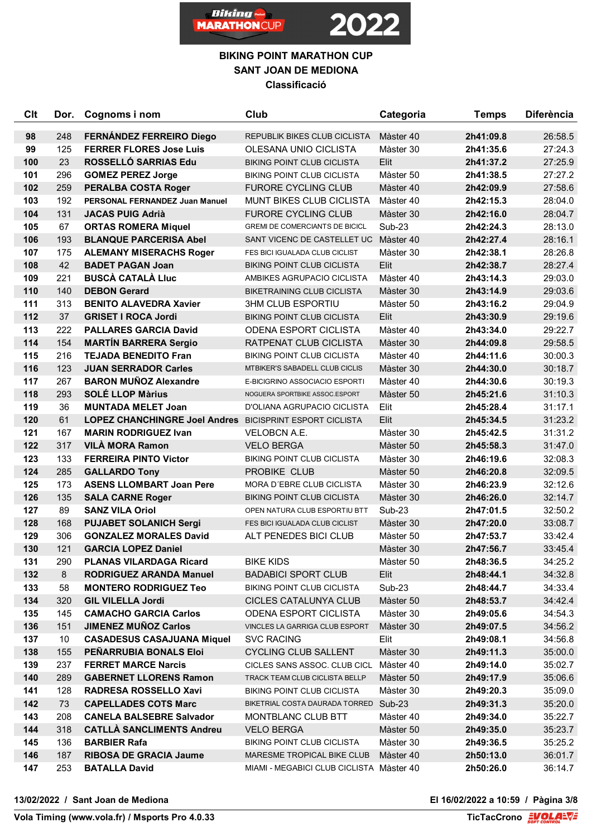

## **BIKING POINT MARATHON CUP SANT JOAN DE MEDIONA Classificació**

| Clt        | Dor.       | Cognoms i nom                                                   | Club                                                        | Categoria              | <b>Temps</b>           | <b>Diferència</b>  |
|------------|------------|-----------------------------------------------------------------|-------------------------------------------------------------|------------------------|------------------------|--------------------|
| 98         | 248        | FERNÁNDEZ FERREIRO Diego                                        | <b>REPUBLIK BIKES CLUB CICLISTA</b>                         | Màster 40              | 2h41:09.8              | 26:58.5            |
| 99         | 125        | <b>FERRER FLORES Jose Luis</b>                                  | OLESANA UNIO CICLISTA                                       | Màster 30              | 2h41:35.6              | 27:24.3            |
| 100        | 23         | ROSSELLÓ SARRIAS Edu                                            | <b>BIKING POINT CLUB CICLISTA</b>                           | Elit                   | 2h41:37.2              | 27:25.9            |
| 101        | 296        | <b>GOMEZ PEREZ Jorge</b>                                        | <b>BIKING POINT CLUB CICLISTA</b>                           | Màster 50              | 2h41:38.5              | 27:27.2            |
| 102        | 259        | <b>PERALBA COSTA Roger</b>                                      | <b>FURORE CYCLING CLUB</b>                                  | Màster 40              | 2h42:09.9              | 27:58.6            |
| 103        | 192        | PERSONAL FERNANDEZ Juan Manuel                                  | <b>MUNT BIKES CLUB CICLISTA</b>                             | Màster 40              | 2h42:15.3              | 28:04.0            |
| 104        | 131        | <b>JACAS PUIG Adrià</b>                                         | <b>FURORE CYCLING CLUB</b>                                  | Màster 30              | 2h42:16.0              | 28:04.7            |
| 105        | 67         | <b>ORTAS ROMERA Miquel</b>                                      | <b>GREMI DE COMERCIANTS DE BICICL</b>                       | Sub-23                 | 2h42:24.3              | 28:13.0            |
| 106        | 193        | <b>BLANQUE PARCERISA Abel</b>                                   | SANT VICENC DE CASTELLET UC Màster 40                       |                        | 2h42:27.4              | 28:16.1            |
| 107        | 175        | <b>ALEMANY MISERACHS Roger</b>                                  | FES BICI IGUALADA CLUB CICLIST                              | Màster 30              | 2h42:38.1              | 28:26.8            |
| 108        | 42         | <b>BADET PAGAN Joan</b>                                         | <b>BIKING POINT CLUB CICLISTA</b>                           | Elit                   | 2h42:38.7              | 28:27.4            |
| 109        | 221        | <b>BUSCÀ CATALÀ LIUC</b>                                        | AMBIKES AGRUPACIO CICLISTA                                  | Màster 40              | 2h43:14.3              | 29:03.0            |
| 110        | 140        | <b>DEBON Gerard</b>                                             | <b>BIKETRAINING CLUB CICLISTA</b>                           | Màster 30              | 2h43:14.9              | 29:03.6            |
| 111        | 313        | <b>BENITO ALAVEDRA Xavier</b>                                   | <b>3HM CLUB ESPORTIU</b>                                    | Màster 50              | 2h43:16.2              | 29:04.9            |
| 112        | 37         | <b>GRISET I ROCA Jordi</b>                                      | <b>BIKING POINT CLUB CICLISTA</b>                           | Elit                   | 2h43:30.9              | 29:19.6            |
| 113        | 222        | <b>PALLARES GARCIA David</b>                                    | <b>ODENA ESPORT CICLISTA</b>                                | Màster 40              | 2h43:34.0              | 29:22.7            |
| 114        | 154        | <b>MARTÍN BARRERA Sergio</b>                                    | RATPENAT CLUB CICLISTA                                      | Màster 30              | 2h44:09.8              | 29:58.5            |
| 115        | 216        | <b>TEJADA BENEDITO Fran</b>                                     | <b>BIKING POINT CLUB CICLISTA</b>                           | Màster 40              | 2h44:11.6              | 30:00.3            |
| 116        | 123        | <b>JUAN SERRADOR Carles</b>                                     | MTBIKER'S SABADELL CLUB CICLIS                              | Màster 30              | 2h44:30.0              | 30:18.7            |
| 117        | 267        | <b>BARON MUÑOZ Alexandre</b>                                    | E-BICIGRINO ASSOCIACIO ESPORTI                              | Màster 40              | 2h44:30.6              | 30:19.3            |
| 118        | 293        | <b>SOLÉ LLOP Màrius</b>                                         | NOGUERA SPORTBIKE ASSOC.ESPORT                              | Màster 50              | 2h45:21.6              | 31:10.3            |
| 119        | 36         | <b>MUNTADA MELET Joan</b>                                       | D'OLIANA AGRUPACIO CICLISTA                                 | Elit                   | 2h45:28.4              | 31:17.1            |
| 120        | 61         | <b>LOPEZ CHANCHINGRE Joel Andres BICISPRINT ESPORT CICLISTA</b> |                                                             | Elit                   | 2h45:34.5              | 31:23.2            |
| 121        | 167        | <b>MARIN RODRIGUEZ Ivan</b>                                     | <b>VELOBCN A.E.</b>                                         | Màster 30              | 2h45:42.5              | 31:31.2            |
| 122        | 317        | <b>VILÀ MORA Ramon</b>                                          | <b>VELO BERGA</b>                                           | Màster 50              | 2h45:58.3              | 31:47.0            |
| 123        | 133        | <b>FERREIRA PINTO Victor</b>                                    | <b>BIKING POINT CLUB CICLISTA</b>                           | Màster 30              | 2h46:19.6              | 32:08.3            |
| 124        | 285        | <b>GALLARDO Tony</b>                                            | PROBIKE CLUB                                                | Màster 50              | 2h46:20.8              | 32:09.5            |
| 125        | 173        | <b>ASENS LLOMBART Joan Pere</b>                                 | MORA D'EBRE CLUB CICLISTA                                   | Màster 30              | 2h46:23.9              | 32:12.6            |
| 126        | 135        | <b>SALA CARNE Roger</b>                                         | <b>BIKING POINT CLUB CICLISTA</b>                           | Màster 30              | 2h46:26.0              | 32:14.7            |
| 127        | 89         | <b>SANZ VILA Oriol</b>                                          | OPEN NATURA CLUB ESPORTIU BTT                               | Sub-23                 | 2h47:01.5              | 32:50.2            |
| 128        | 168        | <b>PUJABET SOLANICH Sergi</b>                                   | FES BICI IGUALADA CLUB CICLIST                              | Màster 30              | 2h47:20.0              | 33:08.7            |
| 129        | 306        | <b>GONZALEZ MORALES David</b>                                   | ALT PENEDES BICI CLUB                                       | Màster 50              | 2h47:53.7              | 33:42.4            |
| 130        | 121        | <b>GARCIA LOPEZ Daniel</b>                                      |                                                             | Màster 30              | 2h47:56.7              | 33:45.4            |
| 131        | 290        | <b>PLANAS VILARDAGA Ricard</b>                                  | <b>BIKE KIDS</b>                                            | Màster 50              | 2h48:36.5              | 34:25.2            |
| 132        | 8          | <b>RODRIGUEZ ARANDA Manuel</b>                                  | <b>BADABICI SPORT CLUB</b>                                  | Elit                   | 2h48:44.1              | 34:32.8            |
| 133        | 58         | <b>MONTERO RODRIGUEZ Teo</b>                                    | <b>BIKING POINT CLUB CICLISTA</b>                           | Sub-23                 | 2h48:44.7              | 34:33.4            |
| 134        | 320        | <b>GIL VILELLA Jordi</b>                                        | CICLES CATALUNYA CLUB                                       | Màster 50              | 2h48:53.7              | 34:42.4            |
| 135        | 145        | <b>CAMACHO GARCIA Carlos</b><br><b>JIMENEZ MUÑOZ Carlos</b>     | <b>ODENA ESPORT CICLISTA</b>                                | Màster 30              | 2h49:05.6              | 34:54.3            |
| 136        | 151        | <b>CASADESUS CASAJUANA Miquel</b>                               | VINCLES LA GARRIGA CLUB ESPORT                              | Màster 30              | 2h49:07.5              | 34:56.2            |
| 137        | 10         |                                                                 | <b>SVC RACING</b>                                           | Elit                   | 2h49:08.1              | 34:56.8            |
| 138<br>139 | 155        | PENARRUBIA BONALS Eloi                                          | <b>CYCLING CLUB SALLENT</b><br>CICLES SANS ASSOC. CLUB CICL | Màster 30<br>Màster 40 | 2h49:11.3              | 35:00.0<br>35:02.7 |
| 140        | 237<br>289 | <b>FERRET MARCE Narcis</b><br><b>GABERNET LLORENS Ramon</b>     | TRACK TEAM CLUB CICLISTA BELLP                              | Màster 50              | 2h49:14.0<br>2h49:17.9 | 35:06.6            |
| 141        | 128        | <b>RADRESA ROSSELLO Xavi</b>                                    | <b>BIKING POINT CLUB CICLISTA</b>                           | Màster 30              | 2h49:20.3              | 35:09.0            |
| 142        | 73         | <b>CAPELLADES COTS Marc</b>                                     | BIKETRIAL COSTA DAURADA TORRED Sub-23                       |                        | 2h49:31.3              | 35:20.0            |
| 143        | 208        | <b>CANELA BALSEBRE Salvador</b>                                 | MONTBLANC CLUB BTT                                          | Màster 40              | 2h49:34.0              | 35:22.7            |
| 144        | 318        | <b>CATLLA SANCLIMENTS Andreu</b>                                | <b>VELO BERGA</b>                                           | Màster 50              | 2h49:35.0              | 35:23.7            |
| 145        | 136        | <b>BARBIER Rafa</b>                                             | <b>BIKING POINT CLUB CICLISTA</b>                           | Màster 30              | 2h49:36.5              | 35:25.2            |
| 146        | 187        | <b>RIBOSA DE GRACIA Jaume</b>                                   | MARESME TROPICAL BIKE CLUB                                  | Màster 40              | 2h50:13.0              | 36:01.7            |
| 147        | 253        | <b>BATALLA David</b>                                            | MIAMI - MEGABICI CLUB CICLISTA Màster 40                    |                        | 2h50:26.0              | 36:14.7            |
|            |            |                                                                 |                                                             |                        |                        |                    |

**13/02/2022 / Sant Joan de Mediona El 16/02/2022 a 10:59 / Pàgina 3/8**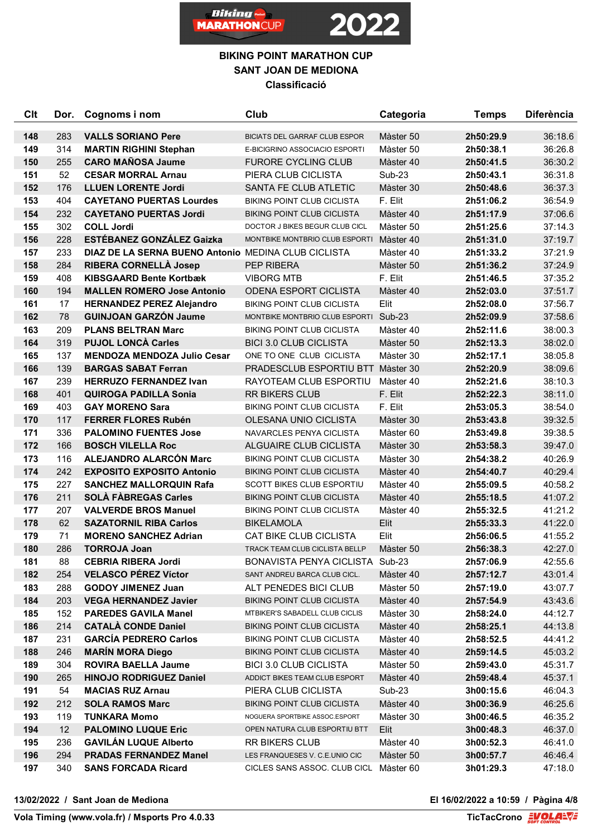



| <b>Clt</b> | Dor.       | Cognoms i nom                                              | Club                                                         | Categoria              | <b>Temps</b>           | <b>Diferència</b>  |
|------------|------------|------------------------------------------------------------|--------------------------------------------------------------|------------------------|------------------------|--------------------|
|            |            |                                                            |                                                              |                        |                        |                    |
| 148<br>149 | 283<br>314 | <b>VALLS SORIANO Pere</b>                                  | <b>BICIATS DEL GARRAF CLUB ESPOR</b>                         | Màster 50<br>Màster 50 | 2h50:29.9<br>2h50:38.1 | 36:18.6<br>36:26.8 |
| 150        | 255        | <b>MARTIN RIGHINI Stephan</b><br><b>CARO MAÑOSA Jaume</b>  | E-BICIGRINO ASSOCIACIO ESPORTI<br><b>FURORE CYCLING CLUB</b> | Màster 40              | 2h50:41.5              | 36:30.2            |
|            | 52         | <b>CESAR MORRAL Arnau</b>                                  | PIERA CLUB CICLISTA                                          | <b>Sub-23</b>          |                        |                    |
| 151<br>152 | 176        | <b>LLUEN LORENTE Jordi</b>                                 | SANTA FE CLUB ATLETIC                                        | Màster 30              | 2h50:43.1<br>2h50:48.6 | 36:31.8<br>36:37.3 |
| 153        | 404        | <b>CAYETANO PUERTAS Lourdes</b>                            | <b>BIKING POINT CLUB CICLISTA</b>                            | F. Elit                | 2h51:06.2              | 36:54.9            |
| 154        | 232        | <b>CAYETANO PUERTAS Jordi</b>                              | <b>BIKING POINT CLUB CICLISTA</b>                            | Màster 40              | 2h51:17.9              | 37:06.6            |
| 155        | 302        | <b>COLL Jordi</b>                                          | DOCTOR J BIKES BEGUR CLUB CICL                               | Màster 50              | 2h51:25.6              | 37:14.3            |
| 156        | 228        | <b>ESTÉBANEZ GONZÁLEZ Gaizka</b>                           | MONTBIKE MONTBRIO CLUB ESPORTI                               | Màster 40              | 2h51:31.0              | 37:19.7            |
| 157        | 233        | <b>DIAZ DE LA SERNA BUENO Antonio MEDINA CLUB CICLISTA</b> |                                                              | Màster 40              | 2h51:33.2              | 37:21.9            |
| 158        | 284        | <b>RIBERA CORNELLÀ Josep</b>                               | PEP RIBERA                                                   | Màster 50              | 2h51:36.2              | 37:24.9            |
| 159        | 408        | <b>KIBSGAARD Bente Kortbæk</b>                             | <b>VIBORG MTB</b>                                            | F. Elit                | 2h51:46.5              | 37:35.2            |
| 160        | 194        | <b>MALLEN ROMERO Jose Antonio</b>                          | ODENA ESPORT CICLISTA                                        | Màster 40              | 2h52:03.0              | 37:51.7            |
| 161        | 17         | <b>HERNANDEZ PEREZ Alejandro</b>                           | <b>BIKING POINT CLUB CICLISTA</b>                            | Elit                   | 2h52:08.0              | 37:56.7            |
| 162        | 78         | <b>GUINJOAN GARZÓN Jaume</b>                               | MONTBIKE MONTBRIO CLUB ESPORTI Sub-23                        |                        | 2h52:09.9              | 37:58.6            |
| 163        | 209        | <b>PLANS BELTRAN Marc</b>                                  | <b>BIKING POINT CLUB CICLISTA</b>                            | Màster 40              | 2h52:11.6              | 38:00.3            |
| 164        | 319        | <b>PUJOL LONCÀ Carles</b>                                  | <b>BICI 3.0 CLUB CICLISTA</b>                                | Màster 50              | 2h52:13.3              | 38:02.0            |
| 165        | 137        | <b>MENDOZA MENDOZA Julio Cesar</b>                         | ONE TO ONE CLUB CICLISTA                                     | Màster 30              | 2h52:17.1              | 38:05.8            |
| 166        | 139        | <b>BARGAS SABAT Ferran</b>                                 | PRADESCLUB ESPORTIU BTT Màster 30                            |                        | 2h52:20.9              | 38:09.6            |
| 167        | 239        | <b>HERRUZO FERNANDEZ Ivan</b>                              | RAYOTEAM CLUB ESPORTIU                                       | Màster 40              | 2h52:21.6              | 38:10.3            |
| 168        | 401        | <b>QUIROGA PADILLA Sonia</b>                               | <b>RR BIKERS CLUB</b>                                        | F. Elit                | 2h52:22.3              | 38:11.0            |
| 169        | 403        | <b>GAY MORENO Sara</b>                                     | <b>BIKING POINT CLUB CICLISTA</b>                            | F. Elit                | 2h53:05.3              | 38:54.0            |
| 170        | 117        | <b>FERRER FLORES Rubén</b>                                 | OLESANA UNIO CICLISTA                                        | Màster 30              | 2h53:43.8              | 39:32.5            |
| 171        | 336        | <b>PALOMINO FUENTES Jose</b>                               | NAVARCLES PENYA CICLISTA                                     | Màster 60              | 2h53:49.8              | 39:38.5            |
| 172        | 166        | <b>BOSCH VILELLA Roc</b>                                   | ALGUAIRE CLUB CICLISTA                                       | Màster 30              | 2h53:58.3              | 39:47.0            |
| 173        | 116        | ALEJANDRO ALARCÓN Marc                                     | <b>BIKING POINT CLUB CICLISTA</b>                            | Màster 30              | 2h54:38.2              | 40:26.9            |
| 174        | 242        | <b>EXPOSITO EXPOSITO Antonio</b>                           | <b>BIKING POINT CLUB CICLISTA</b>                            | Màster 40              | 2h54:40.7              | 40:29.4            |
| 175        | 227        | <b>SANCHEZ MALLORQUIN Rafa</b>                             | <b>SCOTT BIKES CLUB ESPORTIU</b>                             | Màster 40              | 2h55:09.5              | 40:58.2            |
| 176        | 211        | <b>SOLÀ FÀBREGAS Carles</b>                                | <b>BIKING POINT CLUB CICLISTA</b>                            | Màster 40              | 2h55:18.5              | 41:07.2            |
| 177        | 207        | <b>VALVERDE BROS Manuel</b>                                | BIKING POINT CLUB CICLISTA                                   | Màster 40              | 2h55:32.5              | 41:21.2            |
| 178        | 62         | <b>SAZATORNIL RIBA Carlos</b>                              | <b>BIKELAMOLA</b>                                            | Elit                   | 2h55:33.3              | 41:22.0            |
| 179        | 71         | <b>MORENO SANCHEZ Adrian</b>                               | <b>CAT BIKE CLUB CICLISTA</b>                                | Elit                   | 2h56:06.5              | 41:55.2            |
| 180        | 286        | <b>TORROJA Joan</b>                                        | TRACK TEAM CLUB CICLISTA BELLP                               | Màster 50              | 2h56:38.3              | 42:27.0            |
| 181        | 88         | <b>CEBRIA RIBERA Jordi</b>                                 | BONAVISTA PENYA CICLISTA Sub-23                              |                        | 2h57:06.9              | 42:55.6            |
| 182        | 254        | <b>VELASCO PÉREZ Víctor</b>                                | SANT ANDREU BARCA CLUB CICL.                                 | Màster 40              | 2h57:12.7              | 43:01.4            |
| 183        | 288        | <b>GODOY JIMENEZ Juan</b>                                  | ALT PENEDES BICI CLUB                                        | Màster 50              | 2h57:19.0              | 43:07.7            |
| 184        | 203        | <b>VEGA HERNANDEZ Javier</b>                               | <b>BIKING POINT CLUB CICLISTA</b>                            | Màster 40              | 2h57:54.9              | 43:43.6            |
| 185        | 152        | <b>PAREDES GAVILA Manel</b>                                | MTBIKER'S SABADELL CLUB CICLIS                               | Màster 30              | 2h58:24.0              | 44:12.7            |
| 186        | 214        | <b>CATALÀ CONDE Daniel</b>                                 | <b>BIKING POINT CLUB CICLISTA</b>                            | Màster 40              | 2h58:25.1              | 44:13.8            |
| 187        | 231        | <b>GARCIA PEDRERO Carlos</b>                               | <b>BIKING POINT CLUB CICLISTA</b>                            | Màster 40              | 2h58:52.5              | 44:41.2            |
| 188        | 246        | <b>MARÍN MORA Diego</b>                                    | <b>BIKING POINT CLUB CICLISTA</b>                            | Màster 40              | 2h59:14.5              | 45:03.2            |
| 189        | 304        | <b>ROVIRA BAELLA Jaume</b>                                 | <b>BICI 3.0 CLUB CICLISTA</b>                                | Màster 50              | 2h59:43.0              | 45:31.7            |
| 190        | 265        | <b>HINOJO RODRIGUEZ Daniel</b>                             | ADDICT BIKES TEAM CLUB ESPORT                                | Màster 40              | 2h59:48.4              | 45:37.1            |
| 191        | 54         | <b>MACIAS RUZ Arnau</b>                                    | PIERA CLUB CICLISTA                                          | Sub-23                 | 3h00:15.6              | 46:04.3            |
| 192        | 212        | <b>SOLA RAMOS Marc</b>                                     | <b>BIKING POINT CLUB CICLISTA</b>                            | Màster 40              | 3h00:36.9              | 46:25.6            |
| 193        | 119        | <b>TUNKARA Momo</b>                                        | NOGUERA SPORTBIKE ASSOC.ESPORT                               | Màster 30              | 3h00:46.5              | 46:35.2            |
| 194        | 12         | <b>PALOMINO LUQUE Eric</b>                                 | OPEN NATURA CLUB ESPORTIU BTT                                | Elit                   | 3h00:48.3              | 46:37.0            |
| 195        | 236        | <b>GAVILÁN LUQUE Alberto</b>                               | <b>RR BIKERS CLUB</b>                                        | Màster 40              | 3h00:52.3              | 46:41.0            |
| 196        | 294        | <b>PRADAS FERNANDEZ Manel</b>                              | LES FRANQUESES V. C.E.UNIO CIC                               | Màster 50              | 3h00:57.7              | 46:46.4            |
| 197        | 340        | <b>SANS FORCADA Ricard</b>                                 | CICLES SANS ASSOC. CLUB CICL Màster 60                       |                        | 3h01:29.3              | 47:18.0            |

**13/02/2022 / Sant Joan de Mediona El 16/02/2022 a 10:59 / Pàgina 4/8**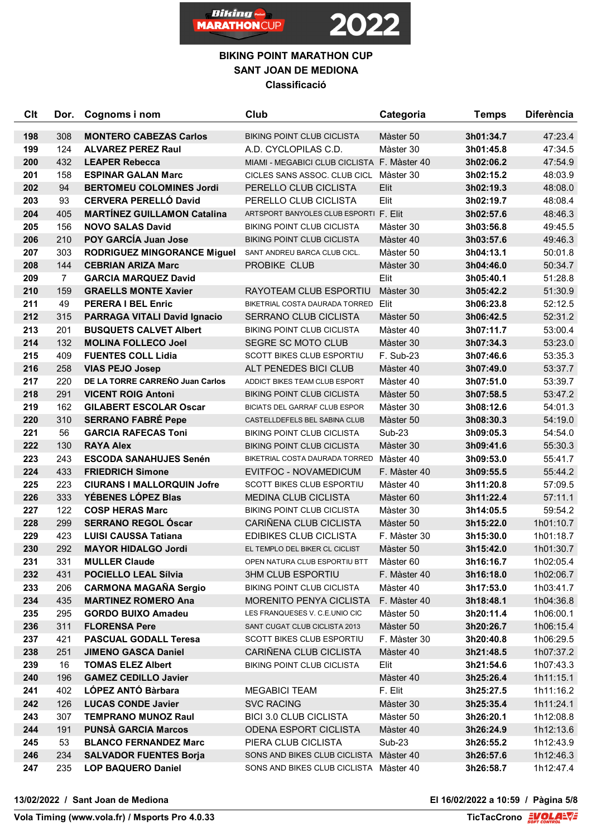

## **BIKING POINT MARATHON CUP SANT JOAN DE MEDIONA Classificació**

| <b>Clt</b> | Dor.           | Cognoms i nom                                           | Club                                                             | Categoria                 | <b>Temps</b>           | <b>Diferència</b>      |
|------------|----------------|---------------------------------------------------------|------------------------------------------------------------------|---------------------------|------------------------|------------------------|
| 198        | 308            | <b>MONTERO CABEZAS Carlos</b>                           | <b>BIKING POINT CLUB CICLISTA</b>                                | Màster 50                 | 3h01:34.7              | 47:23.4                |
| 199        | 124            | <b>ALVAREZ PEREZ Raul</b>                               | A.D. CYCLOPILAS C.D.                                             | Màster 30                 | 3h01:45.8              | 47:34.5                |
| 200        | 432            | <b>LEAPER Rebecca</b>                                   | MIAMI - MEGABICI CLUB CICLISTA F. Màster 40                      |                           | 3h02:06.2              | 47:54.9                |
| 201        | 158            | <b>ESPINAR GALAN Marc</b>                               | CICLES SANS ASSOC. CLUB CICL Màster 30                           |                           | 3h02:15.2              | 48:03.9                |
| 202        | 94             | <b>BERTOMEU COLOMINES Jordi</b>                         | PERELLO CLUB CICLISTA                                            | Elit                      | 3h02:19.3              | 48:08.0                |
| 203        | 93             | <b>CERVERA PERELLÓ David</b>                            | PERELLO CLUB CICLISTA                                            | Elit                      | 3h02:19.7              | 48:08.4                |
| 204        | 405            | <b>MARTÍNEZ GUILLAMON Catalina</b>                      | ARTSPORT BANYOLES CLUB ESPORTI F. Elit                           |                           | 3h02:57.6              | 48:46.3                |
| 205        | 156            | <b>NOVO SALAS David</b>                                 | <b>BIKING POINT CLUB CICLISTA</b>                                | Màster 30                 | 3h03:56.8              | 49:45.5                |
| 206        | 210            | <b>POY GARCÍA Juan Jose</b>                             | <b>BIKING POINT CLUB CICLISTA</b>                                | Màster 40                 | 3h03:57.6              | 49:46.3                |
| 207        | 303            | <b>RODRIGUEZ MINGORANCE Miguel</b>                      | SANT ANDREU BARCA CLUB CICL.                                     | Màster 50                 | 3h04:13.1              | 50:01.8                |
| 208        | 144            | <b>CEBRIAN ARIZA Marc</b>                               | PROBIKE CLUB                                                     | Màster 30                 | 3h04:46.0              | 50:34.7                |
| 209        | $\overline{7}$ | <b>GARCIA MARQUEZ David</b>                             |                                                                  | Elit                      | 3h05:40.1              | 51:28.8                |
| 210        | 159            | <b>GRAELLS MONTE Xavier</b>                             | RAYOTEAM CLUB ESPORTIU                                           | Màster 30                 | 3h05:42.2              | 51:30.9                |
| 211        | 49             | <b>PERERA I BEL Enric</b>                               | BIKETRIAL COSTA DAURADA TORRED Elit                              |                           | 3h06:23.8              | 52:12.5                |
| 212        | 315            | <b>PARRAGA VITALI David Ignacio</b>                     | SERRANO CLUB CICLISTA                                            | Màster 50                 | 3h06:42.5              | 52:31.2                |
| 213        | 201            | <b>BUSQUETS CALVET Albert</b>                           | <b>BIKING POINT CLUB CICLISTA</b>                                | Màster 40                 | 3h07:11.7              | 53:00.4                |
| 214        | 132            | <b>MOLINA FOLLECO Joel</b>                              | SEGRE SC MOTO CLUB                                               | Màster 30                 | 3h07:34.3              | 53:23.0                |
| 215        | 409            | <b>FUENTES COLL Lidia</b>                               | <b>SCOTT BIKES CLUB ESPORTIU</b>                                 | F. Sub-23                 | 3h07:46.6              | 53:35.3                |
| 216        | 258            | <b>VIAS PEJO Josep</b>                                  | ALT PENEDES BICI CLUB                                            | Màster 40                 | 3h07:49.0              | 53:37.7                |
| 217        | 220            | DE LA TORRE CARREÑO Juan Carlos                         | ADDICT BIKES TEAM CLUB ESPORT                                    | Màster 40                 | 3h07:51.0              | 53:39.7                |
| 218        | 291            | <b>VICENT ROIG Antoni</b>                               | <b>BIKING POINT CLUB CICLISTA</b>                                | Màster 50                 | 3h07:58.5              | 53:47.2                |
| 219        | 162            | <b>GILABERT ESCOLAR Oscar</b>                           | <b>BICIATS DEL GARRAF CLUB ESPOR</b>                             | Màster 30                 | 3h08:12.6              | 54:01.3                |
| 220        | 310            | <b>SERRANO FABRÉ Pepe</b>                               | CASTELLDEFELS BEL SABINA CLUB                                    | Màster 50                 | 3h08:30.3              | 54:19.0                |
| 221        | 56             | <b>GARCIA RAFECAS Toni</b>                              | <b>BIKING POINT CLUB CICLISTA</b>                                | Sub-23                    | 3h09:05.3              | 54:54.0                |
| 222        | 130            | <b>RAYA Alex</b>                                        | <b>BIKING POINT CLUB CICLISTA</b>                                | Màster 30                 | 3h09:41.6              | 55:30.3                |
| 223        | 243            | <b>ESCODA SANAHUJES Senén</b>                           | BIKETRIAL COSTA DAURADA TORRED                                   | Màster 40                 | 3h09:53.0              | 55:41.7                |
| 224        | 433            | <b>FRIEDRICH Simone</b>                                 | EVITFOC - NOVAMEDICUM                                            | F. Màster 40              | 3h09:55.5              | 55:44.2                |
| 225        | 223            | <b>CIURANS I MALLORQUIN Jofre</b>                       | <b>SCOTT BIKES CLUB ESPORTIU</b>                                 | Màster 40                 | 3h11:20.8              | 57:09.5                |
| 226        | 333            | YÉBENES LÓPEZ Blas                                      | <b>MEDINA CLUB CICLISTA</b>                                      | Màster 60                 | 3h11:22.4              | 57:11.1                |
| 227        | 122            | <b>COSP HERAS Marc</b>                                  | <b>BIKING POINT CLUB CICLISTA</b>                                | Màster 30                 | 3h14:05.5              | 59:54.2                |
| 228        | 299            | <b>SERRANO REGOL Óscar</b>                              | CARIÑENA CLUB CICLISTA                                           | Màster 50                 | 3h15:22.0              | 1h01:10.7              |
| 229        | 423            | <b>LUISI CAUSSA Tatiana</b>                             | EDIBIKES CLUB CICLISTA                                           | F. Màster 30              | 3h15:30.0              | 1h01:18.7              |
| 230        | 292            | <b>MAYOR HIDALGO Jordi</b>                              | EL TEMPLO DEL BIKER CL CICLIST                                   | Màster 50                 | 3h15:42.0              | 1h01:30.7              |
| 231        | 331            | <b>MULLER Claude</b>                                    | OPEN NATURA CLUB ESPORTIU BTT                                    | Màster 60                 | 3h16:16.7              | 1h02:05.4              |
| 232        | 431            | POCIELLO LEAL Sílvia                                    | <b>3HM CLUB ESPORTIU</b>                                         | F. Màster 40              | 3h16:18.0              | 1h02:06.7              |
| 233<br>234 | 206<br>435     | <b>CARMONA MAGAÑA Sergio</b>                            | <b>BIKING POINT CLUB CICLISTA</b>                                | Màster 40                 | 3h17:53.0              | 1h03:41.7              |
| 235        | 295            | <b>MARTINEZ ROMERO Ana</b><br><b>GORDO BUIXO Amadeu</b> | <b>MORENITO PENYA CICLISTA</b><br>LES FRANQUESES V. C.E.UNIO CIC | F. Màster 40<br>Màster 50 | 3h18:48.1<br>3h20:11.4 | 1h04:36.8<br>1h06:00.1 |
| 236        | 311            | <b>FLORENSA Pere</b>                                    | SANT CUGAT CLUB CICLISTA 2013                                    | Màster 50                 | 3h20:26.7              | 1h06:15.4              |
| 237        | 421            | <b>PASCUAL GODALL Teresa</b>                            | <b>SCOTT BIKES CLUB ESPORTIU</b>                                 | F. Màster 30              | 3h20:40.8              | 1h06:29.5              |
| 238        | 251            | <b>JIMENO GASCA Daniel</b>                              | CARIÑENA CLUB CICLISTA                                           | Màster 40                 | 3h21:48.5              | 1h07:37.2              |
| 239        | 16             | <b>TOMAS ELEZ Albert</b>                                | <b>BIKING POINT CLUB CICLISTA</b>                                | Elit                      | 3h21:54.6              | 1h07:43.3              |
| 240        | 196            | <b>GAMEZ CEDILLO Javier</b>                             |                                                                  | Màster 40                 | 3h25:26.4              | 1h11:15.1              |
| 241        | 402            | LÓPEZ ANTÓ Bàrbara                                      | <b>MEGABICI TEAM</b>                                             | F. Elit                   | 3h25:27.5              | 1h11:16.2              |
| 242        | 126            | <b>LUCAS CONDE Javier</b>                               | <b>SVC RACING</b>                                                | Màster 30                 | 3h25:35.4              | 1h11:24.1              |
| 243        | 307            | <b>TEMPRANO MUNOZ Raul</b>                              | <b>BICI 3.0 CLUB CICLISTA</b>                                    | Màster 50                 | 3h26:20.1              | 1h12:08.8              |
| 244        | 191            | <b>PUNSÀ GARCIA Marcos</b>                              | <b>ODENA ESPORT CICLISTA</b>                                     | Màster 40                 | 3h26:24.9              | 1h12:13.6              |
| 245        | 53             | <b>BLANCO FERNANDEZ Marc</b>                            | PIERA CLUB CICLISTA                                              | Sub-23                    | 3h26:55.2              | 1h12:43.9              |
| 246        | 234            | <b>SALVADOR FUENTES Borja</b>                           | SONS AND BIKES CLUB CICLISTA Màster 40                           |                           | 3h26:57.6              | 1h12:46.3              |
| 247        | 235            | <b>LOP BAQUERO Daniel</b>                               | SONS AND BIKES CLUB CICLISTA Màster 40                           |                           | 3h26:58.7              | 1h12:47.4              |

**13/02/2022 / Sant Joan de Mediona El 16/02/2022 a 10:59 / Pàgina 5/8**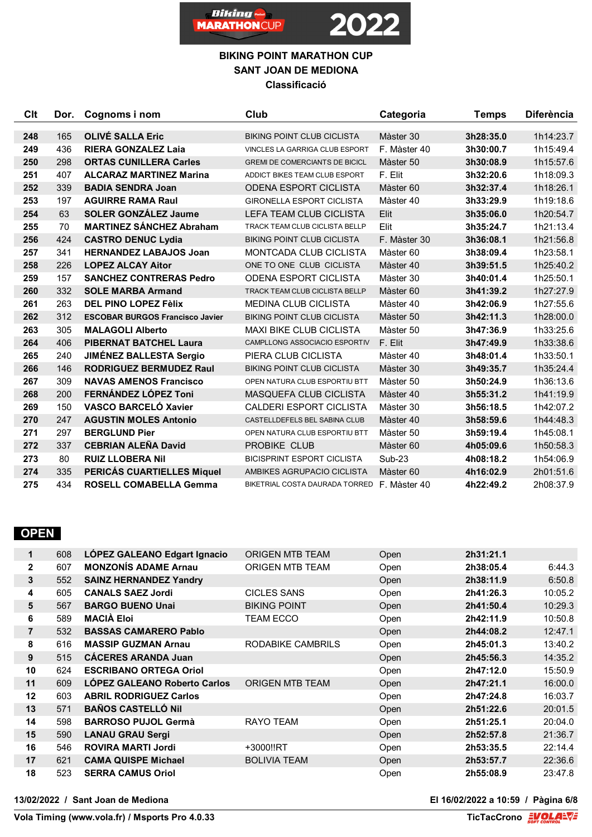



| Clt | Dor. | Cognoms i nom                          | Club                                        | Categoria    | <b>Temps</b> | <b>Diferència</b> |
|-----|------|----------------------------------------|---------------------------------------------|--------------|--------------|-------------------|
|     |      |                                        |                                             |              |              |                   |
| 248 | 165  | <b>OLIVE SALLA Eric</b>                | <b>BIKING POINT CLUB CICLISTA</b>           | Màster 30    | 3h28:35.0    | 1h14:23.7         |
| 249 | 436  | <b>RIERA GONZALEZ Laia</b>             | VINCLES LA GARRIGA CLUB ESPORT              | F. Màster 40 | 3h30:00.7    | 1h15:49.4         |
| 250 | 298  | <b>ORTAS CUNILLERA Carles</b>          | <b>GREMI DE COMERCIANTS DE BICICL</b>       | Màster 50    | 3h30:08.9    | 1h15:57.6         |
| 251 | 407  | <b>ALCARAZ MARTINEZ Marina</b>         | ADDICT BIKES TEAM CLUB ESPORT               | F. Elit      | 3h32:20.6    | 1h18:09.3         |
| 252 | 339  | <b>BADIA SENDRA Joan</b>               | <b>ODENA ESPORT CICLISTA</b>                | Màster 60    | 3h32:37.4    | 1h18:26.1         |
| 253 | 197  | <b>AGUIRRE RAMA Raul</b>               | <b>GIRONELLA ESPORT CICLISTA</b>            | Màster 40    | 3h33:29.9    | 1h19:18.6         |
| 254 | 63   | <b>SOLER GONZÁLEZ Jaume</b>            | <b>LEFA TEAM CLUB CICLISTA</b>              | Elit         | 3h35:06.0    | 1h20:54.7         |
| 255 | 70   | <b>MARTINEZ SÁNCHEZ Abraham</b>        | TRACK TEAM CLUB CICLISTA BELLP              | Elit         | 3h35:24.7    | 1h21:13.4         |
| 256 | 424  | <b>CASTRO DENUC Lydia</b>              | <b>BIKING POINT CLUB CICLISTA</b>           | F. Màster 30 | 3h36:08.1    | 1h21:56.8         |
| 257 | 341  | <b>HERNANDEZ LABAJOS Joan</b>          | <b>MONTCADA CLUB CICLISTA</b>               | Màster 60    | 3h38:09.4    | 1h23:58.1         |
| 258 | 226  | <b>LOPEZ ALCAY Aitor</b>               | ONE TO ONE CLUB CICLISTA                    | Màster 40    | 3h39:51.5    | 1h25:40.2         |
| 259 | 157  | <b>SANCHEZ CONTRERAS Pedro</b>         | <b>ODENA ESPORT CICLISTA</b>                | Màster 30    | 3h40:01.4    | 1h25:50.1         |
| 260 | 332  | <b>SOLE MARBA Armand</b>               | TRACK TEAM CLUB CICLISTA BELLP              | Màster 60    | 3h41:39.2    | 1h27:27.9         |
| 261 | 263  | <b>DEL PINO LOPEZ Fèlix</b>            | <b>MEDINA CLUB CICLISTA</b>                 | Màster 40    | 3h42:06.9    | 1h27:55.6         |
| 262 | 312  | <b>ESCOBAR BURGOS Francisco Javier</b> | <b>BIKING POINT CLUB CICLISTA</b>           | Màster 50    | 3h42:11.3    | 1h28:00.0         |
| 263 | 305  | <b>MALAGOLI Alberto</b>                | <b>MAXI BIKE CLUB CICLISTA</b>              | Màster 50    | 3h47:36.9    | 1h33:25.6         |
| 264 | 406  | <b>PIBERNAT BATCHEL Laura</b>          | CAMPLLONG ASSOCIACIO ESPORTIV               | F. Elit      | 3h47:49.9    | 1h33:38.6         |
| 265 | 240  | <b>JIMÉNEZ BALLESTA Sergio</b>         | PIERA CLUB CICLISTA                         | Màster 40    | 3h48:01.4    | 1h33:50.1         |
| 266 | 146  | <b>RODRIGUEZ BERMUDEZ Raul</b>         | <b>BIKING POINT CLUB CICLISTA</b>           | Màster 30    | 3h49:35.7    | 1h35:24.4         |
| 267 | 309  | <b>NAVAS AMENOS Francisco</b>          | OPEN NATURA CLUB ESPORTIU BTT               | Màster 50    | 3h50:24.9    | 1h36:13.6         |
| 268 | 200  | FERNÁNDEZ LÓPEZ Toni                   | <b>MASQUEFA CLUB CICLISTA</b>               | Màster 40    | 3h55:31.2    | 1h41:19.9         |
| 269 | 150  | <b>VASCO BARCELÓ Xavier</b>            | <b>CALDERI ESPORT CICLISTA</b>              | Màster 30    | 3h56:18.5    | 1h42:07.2         |
| 270 | 247  | <b>AGUSTIN MOLES Antonio</b>           | CASTELLDEFELS BEL SABINA CLUB               | Màster 40    | 3h58:59.6    | 1h44:48.3         |
| 271 | 297  | <b>BERGLUND Pier</b>                   | OPEN NATURA CLUB ESPORTIU BTT               | Màster 50    | 3h59:19.4    | 1h45:08.1         |
| 272 | 337  | <b>CEBRIAN ALEÑA David</b>             | PROBIKE CLUB                                | Màster 60    | 4h05:09.6    | 1h50:58.3         |
| 273 | 80   | <b>RUIZ LLOBERA Nil</b>                | <b>BICISPRINT ESPORT CICLISTA</b>           | $Sub-23$     | 4h08:18.2    | 1h54:06.9         |
| 274 | 335  | PERICÁS CUARTIELLES Miquel             | AMBIKES AGRUPACIO CICLISTA                  | Màster 60    | 4h16:02.9    | 2h01:51.6         |
| 275 | 434  | <b>ROSELL COMABELLA Gemma</b>          | BIKETRIAL COSTA DAURADA TORRED F. Màster 40 |              | 4h22:49.2    | 2h08:37.9         |

## **OPEN**

| 1              | 608 | LÓPEZ GALEANO Edgart Ignacio        | ORIGEN MTB TEAM        | Open | 2h31:21.1 |         |
|----------------|-----|-------------------------------------|------------------------|------|-----------|---------|
| $\mathbf{2}$   | 607 | <b>MONZONIS ADAME Arnau</b>         | <b>ORIGEN MTB TEAM</b> | Open | 2h38:05.4 | 6:44.3  |
| 3              | 552 | <b>SAINZ HERNANDEZ Yandry</b>       |                        | Open | 2h38:11.9 | 6:50.8  |
| 4              | 605 | <b>CANALS SAEZ Jordi</b>            | <b>CICLES SANS</b>     | Open | 2h41:26.3 | 10:05.2 |
| 5              | 567 | <b>BARGO BUENO Unai</b>             | <b>BIKING POINT</b>    | Open | 2h41:50.4 | 10:29.3 |
| 6              | 589 | <b>MACIÀ Eloi</b>                   | <b>TEAM ECCO</b>       | Open | 2h42:11.9 | 10:50.8 |
| $\overline{7}$ | 532 | <b>BASSAS CAMARERO Pablo</b>        |                        | Open | 2h44:08.2 | 12:47.1 |
| 8              | 616 | <b>MASSIP GUZMAN Arnau</b>          | RODABIKE CAMBRILS      | Open | 2h45:01.3 | 13:40.2 |
| 9              | 515 | <b>CÁCERES ARANDA Juan</b>          |                        | Open | 2h45:56.3 | 14:35.2 |
| 10             | 624 | <b>ESCRIBANO ORTEGA Oriol</b>       |                        | Open | 2h47:12.0 | 15:50.9 |
| 11             | 609 | <b>LOPEZ GALEANO Roberto Carlos</b> | <b>ORIGEN MTB TEAM</b> | Open | 2h47:21.1 | 16:00.0 |
| 12             | 603 | <b>ABRIL RODRIGUEZ Carlos</b>       |                        | Open | 2h47:24.8 | 16:03.7 |
| 13             | 571 | <b>BAÑOS CASTELLÓ NII</b>           |                        | Open | 2h51:22.6 | 20:01.5 |
| 14             | 598 | <b>BARROSO PUJOL Germà</b>          | RAYO TEAM              | Open | 2h51:25.1 | 20:04.0 |
| 15             | 590 | <b>LANAU GRAU Sergi</b>             |                        | Open | 2h52:57.8 | 21:36.7 |
| 16             | 546 | <b>ROVIRA MARTI Jordi</b>           | +3000!!RT              | Open | 2h53:35.5 | 22:14.4 |
| 17             | 621 | <b>CAMA QUISPE Michael</b>          | <b>BOLIVIA TEAM</b>    | Open | 2h53:57.7 | 22:36.6 |
| 18             | 523 | <b>SERRA CAMUS Oriol</b>            |                        | Open | 2h55:08.9 | 23:47.8 |
|                |     |                                     |                        |      |           |         |

**13/02/2022 / Sant Joan de Mediona El 16/02/2022 a 10:59 / Pàgina 6/8**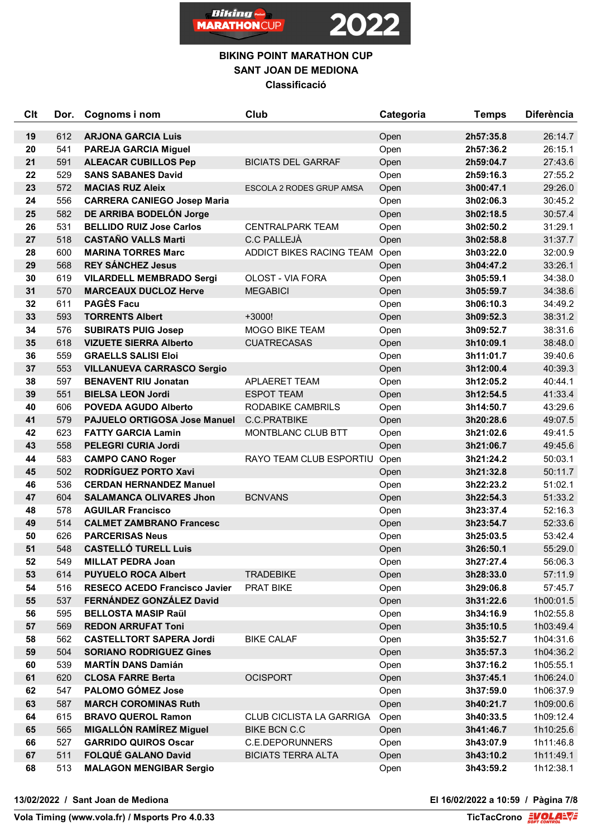



| Clt      | Dor.       | Cognoms i nom                                                 | Club                                                   | Categoria | <b>Temps</b>           | <b>Diferència</b>      |
|----------|------------|---------------------------------------------------------------|--------------------------------------------------------|-----------|------------------------|------------------------|
| 19       | 612        | <b>ARJONA GARCIA Luis</b>                                     |                                                        | Open      | 2h57:35.8              | 26:14.7                |
| 20       | 541        | <b>PAREJA GARCIA Miguel</b>                                   |                                                        | Open      | 2h57:36.2              | 26:15.1                |
| 21       | 591        | <b>ALEACAR CUBILLOS Pep</b>                                   | <b>BICIATS DEL GARRAF</b>                              | Open      | 2h59:04.7              | 27:43.6                |
| 22       | 529        | <b>SANS SABANES David</b>                                     |                                                        | Open      | 2h59:16.3              | 27:55.2                |
| 23       | 572        | <b>MACIAS RUZ Aleix</b>                                       | ESCOLA 2 RODES GRUP AMSA                               | Open      | 3h00:47.1              | 29:26.0                |
| 24       | 556        | <b>CARRERA CANIEGO Josep Maria</b>                            |                                                        | Open      | 3h02:06.3              | 30:45.2                |
| 25       | 582        | DE ARRIBA BODELÓN Jorge                                       |                                                        | Open      | 3h02:18.5              | 30:57.4                |
| 26       | 531        | <b>BELLIDO RUIZ Jose Carlos</b>                               | <b>CENTRALPARK TEAM</b>                                | Open      | 3h02:50.2              | 31:29.1                |
| 27       | 518        | <b>CASTAÑO VALLS Marti</b>                                    | <b>C.C PALLEJÀ</b>                                     | Open      | 3h02:58.8              | 31:37.7                |
| 28       | 600        | <b>MARINA TORRES Marc</b>                                     | ADDICT BIKES RACING TEAM                               | Open      | 3h03:22.0              | 32:00.9                |
| 29       | 568        | <b>REY SÁNCHEZ Jesus</b>                                      |                                                        | Open      | 3h04:47.2              | 33:26.1                |
| 30       | 619        | <b>VILARDELL MEMBRADO Sergi</b>                               | OLOST - VIA FORA                                       | Open      | 3h05:59.1              | 34:38.0                |
| 31       | 570        | <b>MARCEAUX DUCLOZ Herve</b>                                  | <b>MEGABICI</b>                                        | Open      | 3h05:59.7              | 34:38.6                |
| 32       | 611        | <b>PAGÈS Facu</b>                                             |                                                        | Open      | 3h06:10.3              | 34:49.2                |
| 33       | 593        | <b>TORRENTS Albert</b>                                        | $+3000!$                                               | Open      | 3h09:52.3              | 38:31.2                |
| 34       | 576        | <b>SUBIRATS PUIG Josep</b>                                    | MOGO BIKE TEAM                                         | Open      | 3h09:52.7              | 38:31.6                |
| 35       | 618        | <b>VIZUETE SIERRA Alberto</b>                                 | <b>CUATRECASAS</b>                                     | Open      | 3h10:09.1              | 38:48.0                |
| 36       | 559        | <b>GRAELLS SALISI Eloi</b>                                    |                                                        | Open      | 3h11:01.7              | 39:40.6                |
| 37       | 553        | <b>VILLANUEVA CARRASCO Sergio</b>                             |                                                        | Open      | 3h12:00.4              | 40:39.3                |
| 38       | 597        | <b>BENAVENT RIU Jonatan</b>                                   | APLAERET TEAM                                          | Open      | 3h12:05.2              | 40:44.1                |
| 39       | 551        | <b>BIELSA LEON Jordi</b>                                      | <b>ESPOT TEAM</b>                                      | Open      | 3h12:54.5              | 41:33.4                |
| 40       | 606        | <b>POVEDA AGUDO Alberto</b>                                   | RODABIKE CAMBRILS                                      | Open      | 3h14:50.7              | 43:29.6                |
| 41       | 579        | <b>PAJUELO ORTIGOSA Jose Manuel</b>                           | C.C.PRATBIKE                                           | Open      | 3h20:28.6              | 49:07.5                |
| 42       | 623        | <b>FATTY GARCIA Lamin</b>                                     | MONTBLANC CLUB BTT                                     | Open      | 3h21:02.6              | 49:41.5                |
| 43       | 558        | PELEGRI CURIA Jordi                                           |                                                        | Open      | 3h21:06.7              | 49:45.6                |
| 44       | 583        | <b>CAMPO CANO Roger</b>                                       | RAYO TEAM CLUB ESPORTIU                                | Open      | 3h21:24.2              | 50:03.1                |
| 45       | 502        | RODRÍGUEZ PORTO Xavi                                          |                                                        | Open      | 3h21:32.8              | 50:11.7                |
| 46       | 536        | <b>CERDAN HERNANDEZ Manuel</b>                                |                                                        | Open      | 3h22:23.2              | 51:02.1                |
| 47       | 604        | <b>SALAMANCA OLIVARES Jhon</b>                                | <b>BCNVANS</b>                                         | Open      | 3h22:54.3              | 51:33.2                |
| 48       | 578        | <b>AGUILAR Francisco</b>                                      |                                                        | Open      | 3h23:37.4              | 52:16.3                |
| 49       | 514        | <b>CALMET ZAMBRANO Francesc</b>                               |                                                        | Open      | 3h23:54.7              | 52:33.6                |
| 50       | 626        | <b>PARCERISAS Neus</b>                                        |                                                        | Open      | 3h25:03.5              | 53:42.4                |
| 51       | 548        | <b>CASTELLÓ TURELL Luis</b>                                   |                                                        | Open      | 3h26:50.1              | 55:29.0                |
| 52       | 549        | <b>MILLAT PEDRA Joan</b>                                      |                                                        | Open      | 3h27:27.4              | 56:06.3                |
| 53       | 614        | <b>PUYUELO ROCA Albert</b>                                    | <b>TRADEBIKE</b>                                       | Open      | 3h28:33.0              | 57:11.9                |
| 54       | 516        | RESECO ACEDO Francisco Javier                                 | PRAT BIKE                                              | Open      | 3h29:06.8              | 57:45.7                |
| 55       | 537        | FERNÁNDEZ GONZÁLEZ David                                      |                                                        | Open      | 3h31:22.6              | 1h00:01.5              |
| 56       | 595        | <b>BELLOSTA MASIP Raül</b>                                    |                                                        | Open      | 3h34:16.9              | 1h02:55.8              |
| 57       | 569        | <b>REDON ARRUFAT Toni</b>                                     |                                                        | Open      | 3h35:10.5              | 1h03:49.4              |
| 58       | 562        | <b>CASTELLTORT SAPERA Jordi</b>                               | <b>BIKE CALAF</b>                                      | Open      | 3h35:52.7              | 1h04:31.6              |
| 59       | 504        | <b>SORIANO RODRIGUEZ Gines</b>                                |                                                        | Open      | 3h35:57.3              | 1h04:36.2              |
| 60       | 539        | <b>MARTÍN DANS Damián</b>                                     |                                                        | Open      | 3h37:16.2              | 1h05:55.1              |
| 61       | 620        | <b>CLOSA FARRE Berta</b><br><b>PALOMO GÓMEZ Jose</b>          | <b>OCISPORT</b>                                        | Open      | 3h37:45.1              | 1h06:24.0              |
| 62       | 547        | <b>MARCH COROMINAS Ruth</b>                                   |                                                        | Open      | 3h37:59.0              | 1h06:37.9              |
| 63       | 587<br>615 | <b>BRAVO QUEROL Ramon</b>                                     |                                                        | Open      | 3h40:21.7              | 1h09:00.6              |
| 64       |            |                                                               | <b>CLUB CICLISTA LA GARRIGA</b><br><b>BIKE BCN C.C</b> | Open      | 3h40:33.5              | 1h09:12.4              |
| 65<br>66 | 565<br>527 | <b>MIGALLÓN RAMÍREZ Miguel</b><br><b>GARRIDO QUIROS Oscar</b> | <b>C.E.DEPORUNNERS</b>                                 | Open      | 3h41:46.7<br>3h43:07.9 | 1h10:25.6<br>1h11:46.8 |
| 67       | 511        | <b>FOLQUÉ GALANO David</b>                                    |                                                        | Open      |                        | 1h11:49.1              |
|          |            |                                                               | <b>BICIATS TERRA ALTA</b>                              | Open      | 3h43:10.2              |                        |
| 68       | 513        | <b>MALAGON MENGIBAR Sergio</b>                                |                                                        | Open      | 3h43:59.2              | 1h12:38.1              |

**13/02/2022 / Sant Joan de Mediona El 16/02/2022 a 10:59 / Pàgina 7/8**